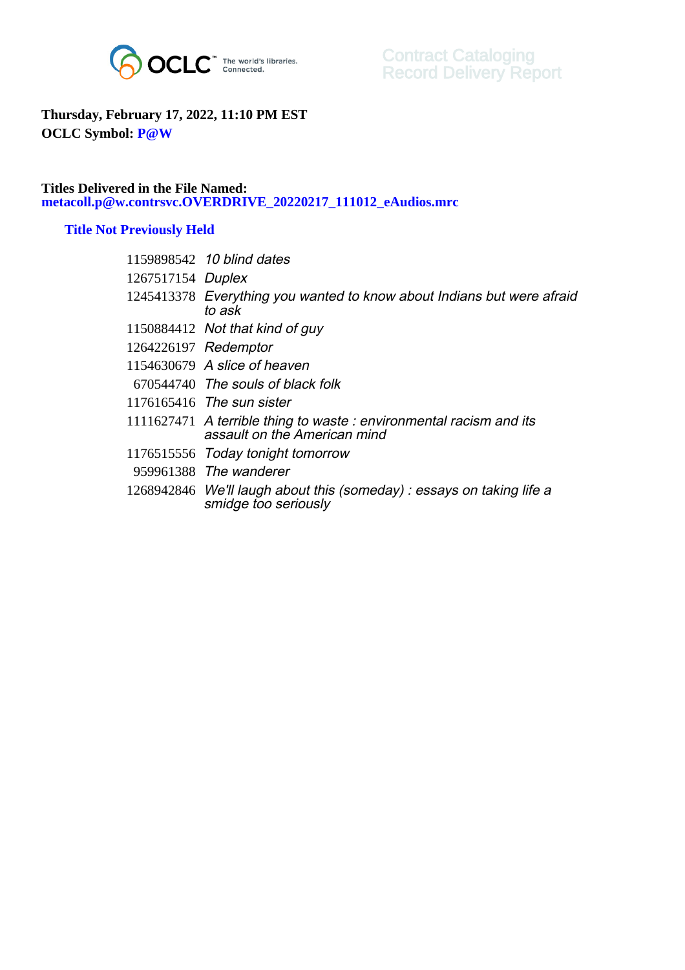

## **Thursday, February 17, 2022, 11:10 PM EST OCLC Symbol: P@W**

## **Titles Delivered in the File Named: metacoll.p@w.contrsvc.OVERDRIVE\_20220217\_111012\_eAudios.mrc**

## **Title Not Previously Held**

|                   | 1159898542 10 blind dates                                                                          |
|-------------------|----------------------------------------------------------------------------------------------------|
| 1267517154 Duplex |                                                                                                    |
|                   | 1245413378 Everything you wanted to know about Indians but were afraid<br>to ask                   |
|                   | 1150884412 Not that kind of guy                                                                    |
|                   | 1264226197 Redemptor                                                                               |
|                   | 1154630679 A slice of heaven                                                                       |
|                   | 670544740 The souls of black folk                                                                  |
|                   | 1176165416 The sun sister                                                                          |
|                   | 1111627471 A terrible thing to waste: environmental racism and its<br>assault on the American mind |
|                   | 1176515556 Today tonight tomorrow                                                                  |
|                   | 959961388 The wanderer                                                                             |
|                   | 1268942846 We'll laugh about this (someday) : essays on taking life a<br>smidge too seriously      |